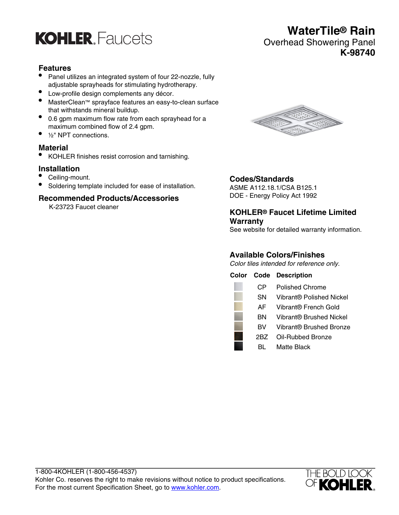

## **Features**

- Panel utilizes an integrated system of four 22-nozzle, fully adjustable sprayheads for stimulating hydrotherapy.
- Low-profile design complements any décor.
- MasterClean™ sprayface features an easy-to-clean surface that withstands mineral buildup.
- 0.6 gpm maximum flow rate from each sprayhead for a maximum combined flow of 2.4 gpm.
- 1/<sub>2</sub>" NPT connections.

## **Material**

• KOHLER finishes resist corrosion and tarnishing.

## **Installation**

- Ceiling-mount.
- Soldering template included for ease of installation.

#### **Recommended Products/Accessories**

K-23723 Faucet cleaner



## **Codes/Standards**

ASME A112.18.1/CSA B125.1 DOE - Energy Policy Act 1992

## **KOHLER® Faucet Lifetime Limited Warranty**

See website for detailed warranty information.

## **Available Colors/Finishes**

Color tiles intended for reference only.





## **WaterTile® Rain** Overhead Showering Panel **K-98740**